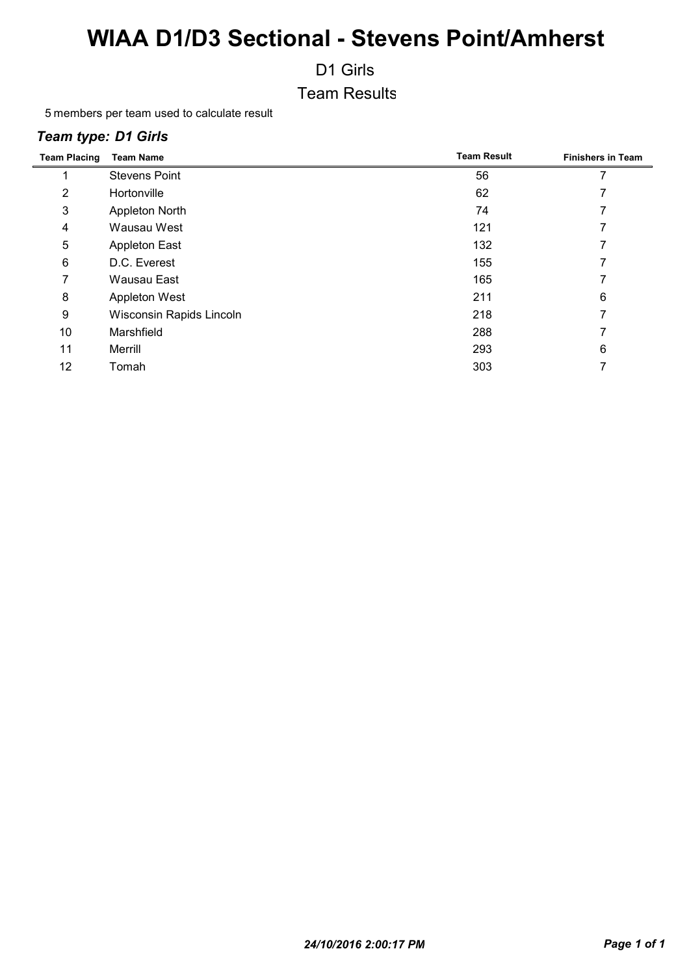D1 Girls

Team Results

members per team used to calculate result

#### *Team type: D1 Girls*

| <b>Team Placing</b> | <b>Team Name</b>         | <b>Team Result</b> | <b>Finishers in Team</b> |
|---------------------|--------------------------|--------------------|--------------------------|
|                     | <b>Stevens Point</b>     | 56                 |                          |
| 2                   | Hortonville              | 62                 |                          |
| 3                   | Appleton North           | 74                 |                          |
| 4                   | Wausau West              | 121                |                          |
| 5                   | <b>Appleton East</b>     | 132                |                          |
| 6                   | D.C. Everest             | 155                |                          |
|                     | Wausau East              | 165                |                          |
| 8                   | Appleton West            | 211                | 6                        |
| 9                   | Wisconsin Rapids Lincoln | 218                |                          |
| 10                  | Marshfield               | 288                |                          |
| 11                  | Merrill                  | 293                | 6                        |
| 12                  | Tomah                    | 303                |                          |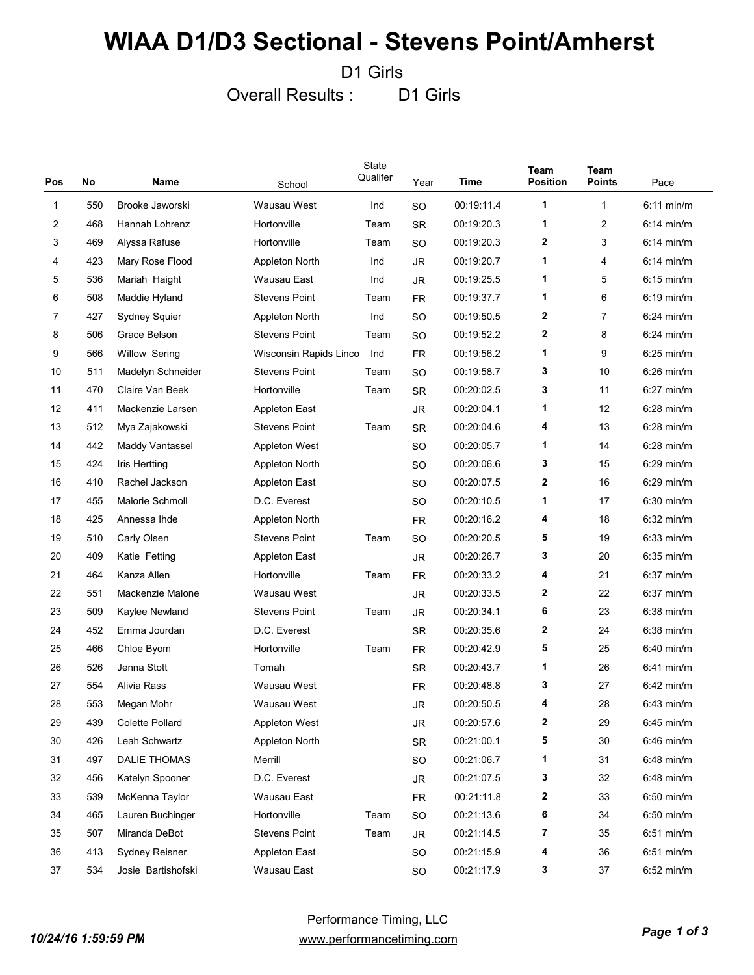D1 Girls

Overall Results : D1 Girls

| Pos          | No  | Name                   | School                 | State<br>Qualifer | Year      | Time       | Team<br><b>Position</b> | <b>Team</b><br>Points | Pace         |
|--------------|-----|------------------------|------------------------|-------------------|-----------|------------|-------------------------|-----------------------|--------------|
| $\mathbf{1}$ | 550 | Brooke Jaworski        | Wausau West            | Ind               | SO        | 00:19:11.4 | 1                       | $\mathbf{1}$          | $6:11$ min/m |
| 2            | 468 | Hannah Lohrenz         | Hortonville            | Team              | <b>SR</b> | 00:19:20.3 | 1                       | 2                     | $6:14$ min/m |
| 3            | 469 | Alyssa Rafuse          | Hortonville            | Team              | SO        | 00:19:20.3 | 2                       | 3                     | $6:14$ min/m |
| 4            | 423 | Mary Rose Flood        | Appleton North         | Ind               | <b>JR</b> | 00:19:20.7 | 1                       | 4                     | $6:14$ min/m |
| 5            | 536 | Mariah Haight          | Wausau East            | Ind               | <b>JR</b> | 00:19:25.5 | 1                       | 5                     | $6:15$ min/m |
| 6            | 508 | Maddie Hyland          | <b>Stevens Point</b>   | Team              | <b>FR</b> | 00:19:37.7 | 1                       | 6                     | $6:19$ min/m |
| 7            | 427 | Sydney Squier          | Appleton North         | Ind               | SO        | 00:19:50.5 | 2                       | 7                     | $6:24$ min/m |
| 8            | 506 | Grace Belson           | <b>Stevens Point</b>   | Team              | SO        | 00:19:52.2 | 2                       | 8                     | $6:24$ min/m |
| 9            | 566 | <b>Willow Sering</b>   | Wisconsin Rapids Linco | Ind               | <b>FR</b> | 00:19:56.2 | 1                       | 9                     | $6:25$ min/m |
| 10           | 511 | Madelyn Schneider      | <b>Stevens Point</b>   | Team              | <b>SO</b> | 00:19:58.7 | 3                       | 10                    | $6:26$ min/m |
| 11           | 470 | Claire Van Beek        | Hortonville            | Team              | <b>SR</b> | 00:20:02.5 | 3                       | 11                    | $6:27$ min/m |
| 12           | 411 | Mackenzie Larsen       | Appleton East          |                   | <b>JR</b> | 00:20:04.1 | 1                       | 12                    | $6:28$ min/m |
| 13           | 512 | Mya Zajakowski         | <b>Stevens Point</b>   | Team              | <b>SR</b> | 00:20:04.6 | 4                       | 13                    | $6:28$ min/m |
| 14           | 442 | <b>Maddy Vantassel</b> | <b>Appleton West</b>   |                   | SO        | 00:20:05.7 | 1                       | 14                    | $6:28$ min/m |
| 15           | 424 | Iris Hertting          | <b>Appleton North</b>  |                   | SO        | 00:20:06.6 | 3                       | 15                    | $6:29$ min/m |
| 16           | 410 | Rachel Jackson         | <b>Appleton East</b>   |                   | SO        | 00:20:07.5 | 2                       | 16                    | $6:29$ min/m |
| 17           | 455 | Malorie Schmoll        | D.C. Everest           |                   | SO        | 00:20:10.5 | 1                       | 17                    | $6:30$ min/m |
| 18           | 425 | Annessa Ihde           | Appleton North         |                   | <b>FR</b> | 00:20:16.2 | 4                       | 18                    | $6:32$ min/m |
| 19           | 510 | Carly Olsen            | <b>Stevens Point</b>   | Team              | SO        | 00:20:20.5 | 5                       | 19                    | $6:33$ min/m |
| 20           | 409 | Katie Fetting          | <b>Appleton East</b>   |                   | <b>JR</b> | 00:20:26.7 | 3                       | 20                    | $6:35$ min/m |
| 21           | 464 | Kanza Allen            | Hortonville            | Team              | <b>FR</b> | 00:20:33.2 | 4                       | 21                    | $6:37$ min/m |
| 22           | 551 | Mackenzie Malone       | Wausau West            |                   | <b>JR</b> | 00:20:33.5 | 2                       | 22                    | $6:37$ min/m |
| 23           | 509 | Kaylee Newland         | <b>Stevens Point</b>   | Team              | <b>JR</b> | 00:20:34.1 | 6                       | 23                    | $6:38$ min/m |
| 24           | 452 | Emma Jourdan           | D.C. Everest           |                   | <b>SR</b> | 00:20:35.6 | 2                       | 24                    | $6:38$ min/m |
| 25           | 466 | Chloe Byom             | Hortonville            | Team              | <b>FR</b> | 00:20:42.9 | 5                       | 25                    | 6:40 min/m   |
| 26           | 526 | Jenna Stott            | Tomah                  |                   | <b>SR</b> | 00:20:43.7 | 1                       | 26                    | 6:41 min/m   |
| 27           | 554 | Alivia Rass            | Wausau West            |                   | <b>FR</b> | 00:20:48.8 | 3                       | 27                    | $6:42$ min/m |
| 28           | 553 | Megan Mohr             | Wausau West            |                   | <b>JR</b> | 00:20:50.5 | 4                       | 28                    | $6:43$ min/m |
| 29           | 439 | Colette Pollard        | Appleton West          |                   | JR        | 00:20:57.6 | 2                       | 29                    | 6:45 min/m   |
| 30           | 426 | Leah Schwartz          | Appleton North         |                   | SR        | 00:21:00.1 | 5                       | 30                    | $6:46$ min/m |
| 31           | 497 | <b>DALIE THOMAS</b>    | Merrill                |                   | SO        | 00:21:06.7 | 1                       | 31                    | $6:48$ min/m |
| 32           | 456 | Katelyn Spooner        | D.C. Everest           |                   | JR        | 00:21:07.5 | 3                       | 32                    | $6:48$ min/m |
| 33           | 539 | McKenna Taylor         | Wausau East            |                   | <b>FR</b> | 00:21:11.8 | 2                       | 33                    | $6:50$ min/m |
| 34           | 465 | Lauren Buchinger       | Hortonville            | Team              | SO.       | 00:21:13.6 | 6                       | 34                    | $6:50$ min/m |
| 35           | 507 | Miranda DeBot          | <b>Stevens Point</b>   | Team              | JR        | 00:21:14.5 | 7                       | 35                    | 6:51 min/m   |
| 36           | 413 | <b>Sydney Reisner</b>  | <b>Appleton East</b>   |                   | SO        | 00:21:15.9 | 4                       | 36                    | 6:51 min/m   |
| 37           | 534 | Josie Bartishofski     | Wausau East            |                   | SO        | 00:21:17.9 | 3                       | 37                    | 6:52 min/m   |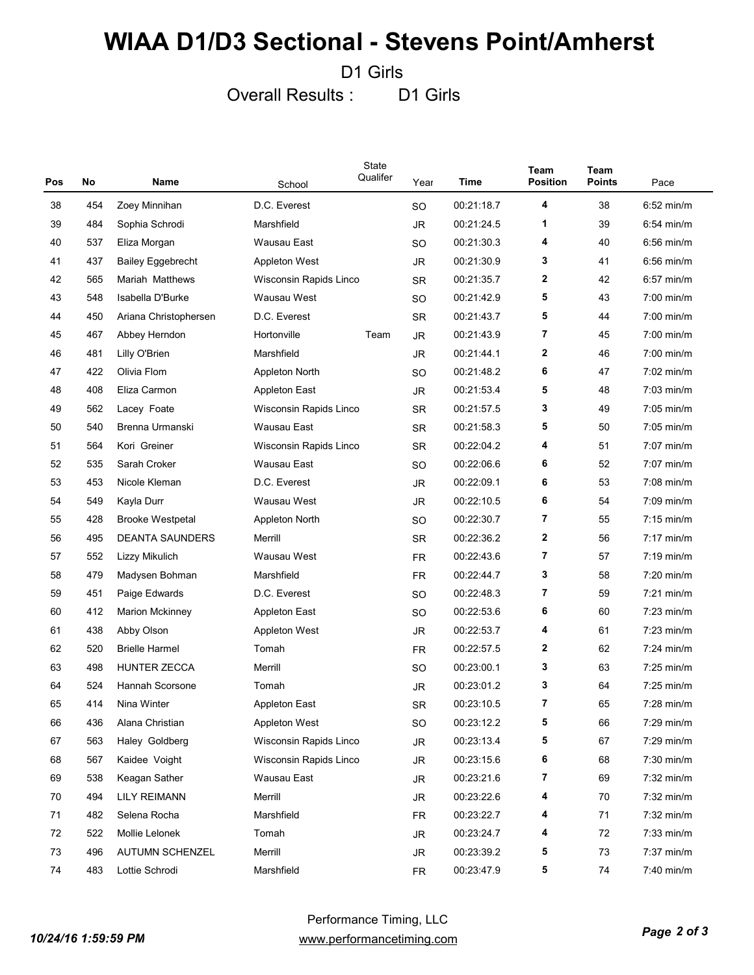D1 Girls

Overall Results : D1 Girls

| Pos | No  | Name                     | School                 | State<br>Qualifer | Year      | Time       | <b>Team</b><br><b>Position</b> | <b>Team</b><br>Points | Pace                 |
|-----|-----|--------------------------|------------------------|-------------------|-----------|------------|--------------------------------|-----------------------|----------------------|
| 38  | 454 | Zoey Minnihan            | D.C. Everest           |                   | SO        | 00:21:18.7 | 4                              | 38                    | $6:52$ min/m         |
| 39  | 484 | Sophia Schrodi           | Marshfield             |                   | JR.       | 00:21:24.5 | 1                              | 39                    | $6:54$ min/m         |
| 40  | 537 | Eliza Morgan             | Wausau East            |                   | SO        | 00:21:30.3 | 4                              | 40                    | $6:56$ min/m         |
| 41  | 437 | <b>Bailey Eggebrecht</b> | <b>Appleton West</b>   |                   | JR.       | 00:21:30.9 | 3                              | 41                    | $6:56$ min/m         |
| 42  | 565 | Mariah Matthews          | Wisconsin Rapids Linco |                   | <b>SR</b> | 00:21:35.7 | $\mathbf{2}$                   | 42                    | $6:57$ min/m         |
| 43  | 548 | Isabella D'Burke         | Wausau West            |                   | SO        | 00:21:42.9 | 5                              | 43                    | $7:00$ min/m         |
| 44  | 450 | Ariana Christophersen    | D.C. Everest           |                   | <b>SR</b> | 00:21:43.7 | 5                              | 44                    | $7:00$ min/m         |
| 45  | 467 | Abbey Herndon            | Hortonville            | Team              | <b>JR</b> | 00:21:43.9 | 7                              | 45                    | $7:00$ min/m         |
| 46  | 481 | Lilly O'Brien            | Marshfield             |                   | <b>JR</b> | 00:21:44.1 | $\mathbf{2}$                   | 46                    | $7:00$ min/m         |
| 47  | 422 | Olivia Flom              | Appleton North         |                   | SO        | 00:21:48.2 | 6                              | 47                    | $7:02$ min/m         |
| 48  | 408 | Eliza Carmon             | Appleton East          |                   | JR.       | 00:21:53.4 | 5                              | 48                    | $7:03$ min/m         |
| 49  | 562 | Lacey Foate              | Wisconsin Rapids Linco |                   | <b>SR</b> | 00:21:57.5 | 3                              | 49                    | $7:05$ min/m         |
| 50  | 540 | Brenna Urmanski          | Wausau East            |                   | <b>SR</b> | 00:21:58.3 | 5                              | 50                    | $7:05$ min/m         |
| 51  | 564 | Kori Greiner             | Wisconsin Rapids Linco |                   | <b>SR</b> | 00:22:04.2 | 4                              | 51                    | $7:07$ min/m         |
| 52  | 535 | Sarah Croker             | Wausau East            |                   | SO        | 00:22:06.6 | 6                              | 52                    | $7:07$ min/m         |
| 53  | 453 | Nicole Kleman            | D.C. Everest           |                   | JR.       | 00:22:09.1 | 6                              | 53                    | $7:08$ min/m         |
| 54  | 549 | Kayla Durr               | Wausau West            |                   | JR.       | 00:22:10.5 | 6                              | 54                    | $7:09$ min/m         |
| 55  | 428 | <b>Brooke Westpetal</b>  | Appleton North         |                   | SO        | 00:22:30.7 | 7                              | 55                    | $7:15 \text{ min/m}$ |
| 56  | 495 | <b>DEANTA SAUNDERS</b>   | Merrill                |                   | <b>SR</b> | 00:22:36.2 | $\mathbf{2}$                   | 56                    | $7:17$ min/m         |
| 57  | 552 | Lizzy Mikulich           | Wausau West            |                   | <b>FR</b> | 00:22:43.6 | 7                              | 57                    | $7:19$ min/m         |
| 58  | 479 | Madysen Bohman           | Marshfield             |                   | <b>FR</b> | 00:22:44.7 | 3                              | 58                    | $7:20$ min/m         |
| 59  | 451 | Paige Edwards            | D.C. Everest           |                   | SO        | 00:22:48.3 | 7                              | 59                    | $7:21$ min/m         |
| 60  | 412 | <b>Marion Mckinney</b>   | Appleton East          |                   | SO        | 00:22:53.6 | 6                              | 60                    | $7:23$ min/m         |
| 61  | 438 | Abby Olson               | <b>Appleton West</b>   |                   | JR.       | 00:22:53.7 | 4                              | 61                    | $7:23$ min/m         |
| 62  | 520 | <b>Brielle Harmel</b>    | Tomah                  |                   | <b>FR</b> | 00:22:57.5 | $\mathbf{2}$                   | 62                    | $7:24$ min/m         |
| 63  | 498 | <b>HUNTER ZECCA</b>      | Merrill                |                   | SO        | 00:23:00.1 | 3                              | 63                    | $7:25$ min/m         |
| 64  | 524 | Hannah Scorsone          | Tomah                  |                   | JR        | 00:23:01.2 | 3                              | 64                    | $7:25$ min/m         |
| 65  | 414 | Nina Winter              | <b>Appleton East</b>   |                   | <b>SR</b> | 00:23:10.5 | 7                              | 65                    | $7:28$ min/m         |
| 66  | 436 | Alana Christian          | Appleton West          |                   | SO        | 00:23:12.2 | 5                              | 66                    | 7:29 min/m           |
| 67  | 563 | Haley Goldberg           | Wisconsin Rapids Linco |                   | JR        | 00:23:13.4 | 5                              | 67                    | 7:29 min/m           |
| 68  | 567 | Kaidee Voight            | Wisconsin Rapids Linco |                   | JR        | 00:23:15.6 | 6                              | 68                    | $7:30$ min/m         |
| 69  | 538 | Keagan Sather            | Wausau East            |                   | JR        | 00:23:21.6 | 7                              | 69                    | $7:32$ min/m         |
| 70  | 494 | <b>LILY REIMANN</b>      | Merrill                |                   | JR        | 00:23:22.6 | 4                              | 70                    | $7:32$ min/m         |
| 71  | 482 | Selena Rocha             | Marshfield             |                   | FR        | 00:23:22.7 | 4                              | 71                    | $7:32$ min/m         |
| 72  | 522 | Mollie Lelonek           | Tomah                  |                   | JR        | 00:23:24.7 | 4                              | 72                    | $7:33$ min/m         |
| 73  | 496 | AUTUMN SCHENZEL          | Merrill                |                   | JR        | 00:23:39.2 | 5                              | 73                    | 7:37 min/m           |
| 74  | 483 | Lottie Schrodi           | Marshfield             |                   | <b>FR</b> | 00:23:47.9 | 5                              | 74                    | 7:40 min/m           |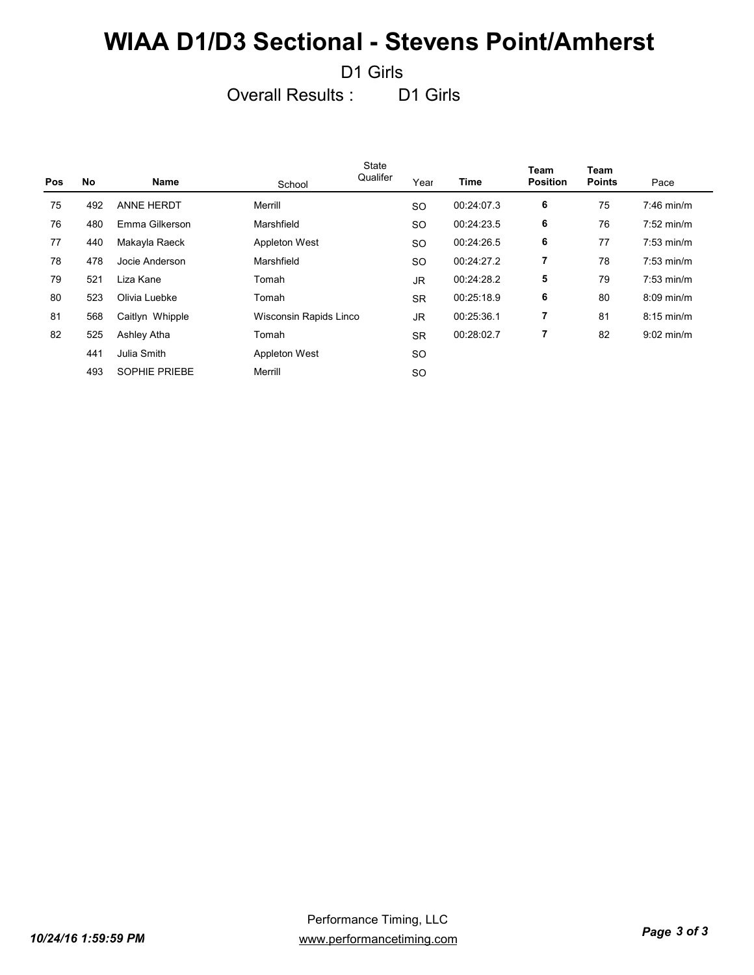D1 Girls

Overall Results : D1 Girls

| <b>Pos</b> | No  | Name                 | School                 | State<br>Qualifer | Year      | Time       | <b>Team</b><br><b>Position</b> | Team<br><b>Points</b> | Pace                 |
|------------|-----|----------------------|------------------------|-------------------|-----------|------------|--------------------------------|-----------------------|----------------------|
| 75         | 492 | <b>ANNE HERDT</b>    | Merrill                |                   | <b>SO</b> | 00:24:07.3 | 6                              | 75                    | $7:46$ min/m         |
| 76         | 480 | Emma Gilkerson       | Marshfield             |                   | <b>SO</b> | 00:24:23.5 | 6                              | 76                    | $7:52$ min/m         |
| 77         | 440 | Makayla Raeck        | <b>Appleton West</b>   |                   | <b>SO</b> | 00:24:26.5 | 6                              | 77                    | $7:53 \text{ min/m}$ |
| 78         | 478 | Jocie Anderson       | Marshfield             |                   | <b>SO</b> | 00:24:27.2 | 7                              | 78                    | $7:53$ min/m         |
| 79         | 521 | Liza Kane            | Tomah                  |                   | <b>JR</b> | 00:24:28.2 | 5                              | 79                    | $7:53$ min/m         |
| 80         | 523 | Olivia Luebke        | Tomah                  |                   | <b>SR</b> | 00:25:18.9 | 6                              | 80                    | $8:09$ min/m         |
| 81         | 568 | Caitlyn Whipple      | Wisconsin Rapids Linco |                   | <b>JR</b> | 00:25:36.1 | $\overline{7}$                 | 81                    | $8:15$ min/m         |
| 82         | 525 | Ashley Atha          | Tomah                  |                   | <b>SR</b> | 00:28:02.7 | 7                              | 82                    | $9:02$ min/m         |
|            | 441 | Julia Smith          | Appleton West          |                   | <b>SO</b> |            |                                |                       |                      |
|            | 493 | <b>SOPHIE PRIEBE</b> | Merrill                |                   | <b>SO</b> |            |                                |                       |                      |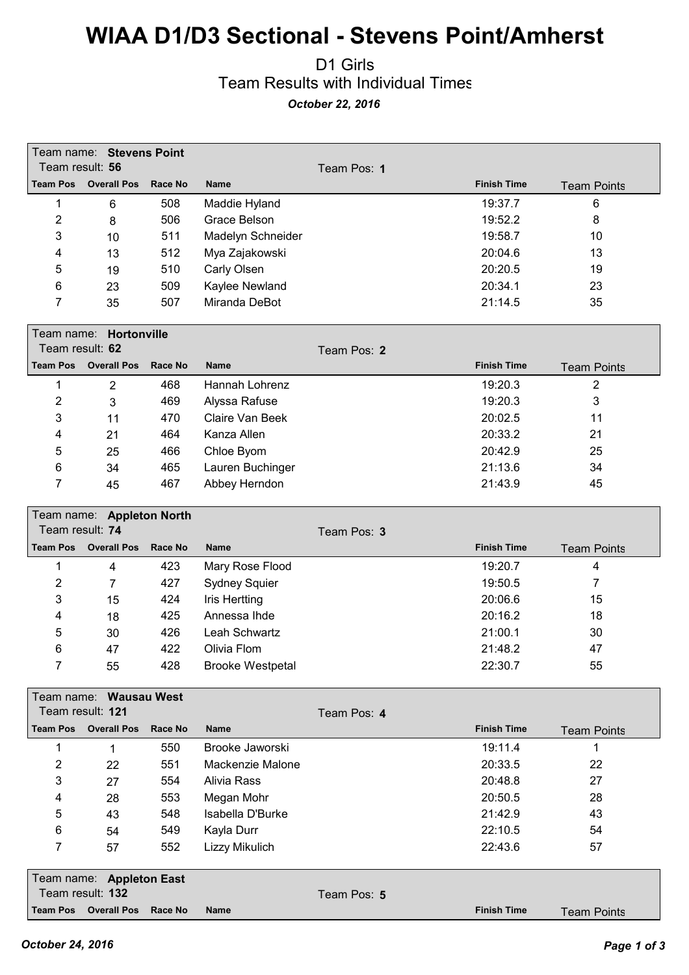#### D1 Girls Team Results with Individual Times *October 22, 2016*

| Team result: 56     | Team name: Stevens Point                   |                |                                     | Team Pos: 1 |                    |                    |
|---------------------|--------------------------------------------|----------------|-------------------------------------|-------------|--------------------|--------------------|
| <b>Team Pos</b>     | <b>Overall Pos</b>                         | <b>Race No</b> | <b>Name</b>                         |             | <b>Finish Time</b> | <b>Team Points</b> |
| 1                   | 6                                          | 508            | Maddie Hyland                       |             | 19:37.7            | 6                  |
| $\overline{2}$      | 8                                          | 506            | Grace Belson                        |             | 19:52.2            | 8                  |
| 3                   | 10                                         | 511            | Madelyn Schneider                   |             | 19:58.7            | 10                 |
| 4                   | 13                                         | 512            | Mya Zajakowski                      |             | 20:04.6            | 13                 |
| 5                   | 19                                         | 510            | Carly Olsen                         |             | 20:20.5            | 19                 |
| 6                   | 23                                         | 509            | Kaylee Newland                      |             | 20:34.1            | 23                 |
| 7                   | 35                                         | 507            | Miranda DeBot                       |             | 21:14.5            | 35                 |
|                     |                                            |                |                                     |             |                    |                    |
| Team name:          | Hortonville                                |                |                                     |             |                    |                    |
| Team result: 62     |                                            |                |                                     | Team Pos: 2 |                    |                    |
| <b>Team Pos</b>     | <b>Overall Pos</b>                         | Race No        | Name                                |             | <b>Finish Time</b> | <b>Team Points</b> |
| 1                   | $\overline{2}$                             | 468            | Hannah Lohrenz                      |             | 19:20.3            | 2                  |
| $\overline{c}$      | 3                                          | 469            | Alyssa Rafuse                       |             | 19:20.3            | 3                  |
| 3                   | 11                                         | 470            | Claire Van Beek                     |             | 20:02.5            | 11                 |
| 4                   | 21                                         | 464            | Kanza Allen                         |             | 20:33.2            | 21                 |
| 5                   | 25                                         | 466            | Chloe Byom                          |             | 20:42.9            | 25                 |
| 6                   | 34                                         | 465            | Lauren Buchinger                    |             | 21:13.6            | 34                 |
| 7                   | 45                                         | 467            | Abbey Herndon                       |             | 21:43.9            | 45                 |
|                     |                                            |                |                                     |             |                    |                    |
|                     | Team name: Appleton North                  |                |                                     |             |                    |                    |
| Team result: 74     |                                            |                |                                     | Team Pos: 3 |                    |                    |
| <b>Team Pos</b>     | <b>Overall Pos</b>                         | Race No        | <b>Name</b>                         |             | <b>Finish Time</b> | <b>Team Points</b> |
| 1                   | 4                                          | 423            | Mary Rose Flood                     |             | 19:20.7            | 4                  |
| $\overline{2}$      | 7                                          | 427            | <b>Sydney Squier</b>                |             | 19:50.5            | 7                  |
| 3                   | 15                                         | 424            | <b>Iris Hertting</b>                |             | 20:06.6            | 15                 |
| 4                   | 18                                         | 425            | Annessa Ihde                        |             | 20:16.2            | 18                 |
| 5                   | 30                                         | 426            | Leah Schwartz                       |             | 21:00.1            | 30                 |
| 6                   | 47                                         | 422            | Olivia Flom                         |             | 21:48.2            | 47                 |
| 7                   | 55                                         | 428            | <b>Brooke Westpetal</b>             |             | 22:30.7            | 55                 |
|                     |                                            |                |                                     |             |                    |                    |
|                     | Team name: Wausau West<br>Team result: 121 |                |                                     |             |                    |                    |
| <b>Team Pos</b>     | <b>Overall Pos</b>                         | <b>Race No</b> | <b>Name</b>                         | Team Pos: 4 | <b>Finish Time</b> |                    |
|                     |                                            |                |                                     |             | 19:11.4            | <b>Team Points</b> |
| 1<br>$\overline{c}$ | 1                                          | 550<br>551     | Brooke Jaworski<br>Mackenzie Malone |             | 20:33.5            | 1<br>22            |
|                     | 22                                         |                |                                     |             |                    |                    |
| 3                   | 27                                         | 554            | <b>Alivia Rass</b>                  |             | 20:48.8            | 27                 |
| 4                   | 28                                         | 553            | Megan Mohr                          |             | 20:50.5            | 28                 |
| 5                   | 43                                         | 548            | Isabella D'Burke                    |             | 21:42.9            | 43                 |
| 6                   | 54                                         | 549            | Kayla Durr                          |             | 22:10.5            | 54                 |
| 7                   | 57                                         | 552            | Lizzy Mikulich                      |             | 22:43.6            | 57                 |
|                     | Team name: Appleton East                   |                |                                     |             |                    |                    |
|                     | Team result: 132                           |                |                                     | Team Pos: 5 |                    |                    |
|                     | Team Pos Overall Pos                       | <b>Race No</b> | Name                                |             | <b>Finish Time</b> | <b>Team Points</b> |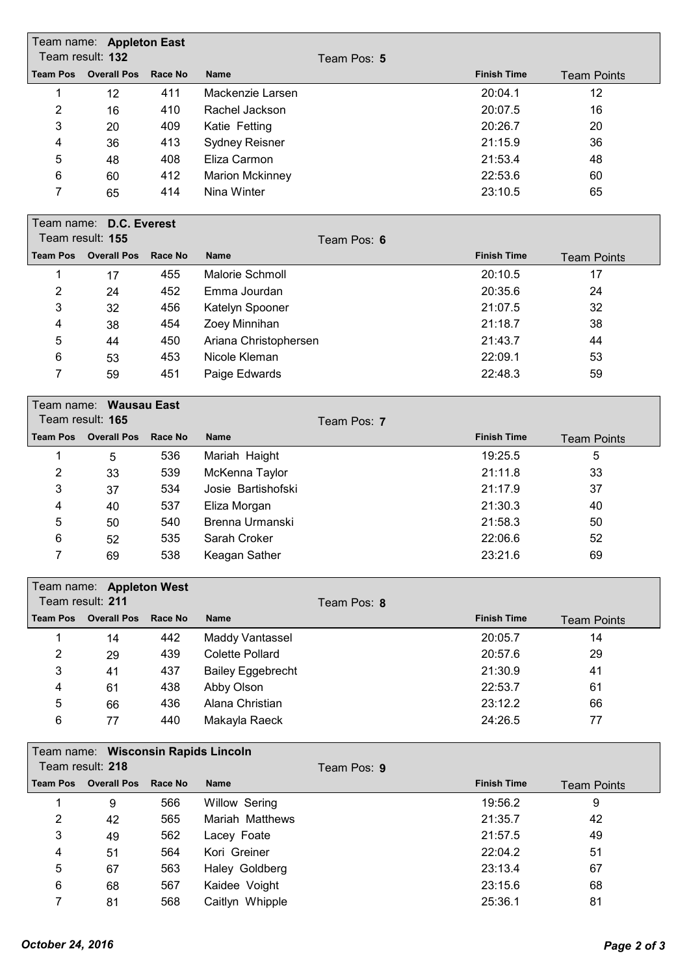|                 | Team name: Appleton East            |                |                          |             |                    |                    |
|-----------------|-------------------------------------|----------------|--------------------------|-------------|--------------------|--------------------|
|                 | Team result: 132                    |                |                          | Team Pos: 5 |                    |                    |
| <b>Team Pos</b> | <b>Overall Pos</b>                  | Race No        | <b>Name</b>              |             | <b>Finish Time</b> | <b>Team Points</b> |
| 1               | 12                                  | 411            | Mackenzie Larsen         |             | 20:04.1            | 12                 |
| 2               | 16                                  | 410            | Rachel Jackson           |             | 20:07.5            | 16                 |
| 3               | 20                                  | 409            | Katie Fetting            |             | 20:26.7            | 20                 |
| 4               | 36                                  | 413            | <b>Sydney Reisner</b>    |             | 21:15.9            | 36                 |
| 5               | 48                                  | 408            | Eliza Carmon             |             | 21:53.4            | 48                 |
| 6               | 60                                  | 412            | <b>Marion Mckinney</b>   |             | 22:53.6            | 60                 |
| 7               | 65                                  | 414            | Nina Winter              |             | 23:10.5            | 65                 |
|                 | Team name: D.C. Everest             |                |                          |             |                    |                    |
|                 | Team result: 155                    |                |                          | Team Pos: 6 |                    |                    |
| <b>Team Pos</b> | <b>Overall Pos</b>                  | Race No        | <b>Name</b>              |             | <b>Finish Time</b> | <b>Team Points</b> |
| 1               | 17                                  | 455            | <b>Malorie Schmoll</b>   |             | 20:10.5            | 17                 |
| 2               | 24                                  | 452            | Emma Jourdan             |             | 20:35.6            | 24                 |
| 3               | 32                                  | 456            | Katelyn Spooner          |             | 21:07.5            | 32                 |
| 4               | 38                                  | 454            | Zoey Minnihan            |             | 21:18.7            | 38                 |
| 5               | 44                                  | 450            | Ariana Christophersen    |             | 21:43.7            | 44                 |
| 6               | 53                                  | 453            | Nicole Kleman            |             | 22:09.1            | 53                 |
| 7               | 59                                  | 451            | Paige Edwards            |             | 22:48.3            | 59                 |
|                 |                                     |                |                          |             |                    |                    |
|                 | Team name: Wausau East              |                |                          |             |                    |                    |
|                 | Team result: 165                    |                |                          | Team Pos: 7 |                    |                    |
| <b>Team Pos</b> | <b>Overall Pos</b>                  | Race No        | <b>Name</b>              |             | <b>Finish Time</b> | <b>Team Points</b> |
| 1               | 5                                   | 536            | Mariah Haight            |             | 19:25.5            | 5                  |
| $\overline{2}$  | 33                                  | 539            | McKenna Taylor           |             | 21:11.8            | 33                 |
| 3               | 37                                  | 534            | Josie Bartishofski       |             | 21:17.9            | 37                 |
| 4               | 40                                  | 537            | Eliza Morgan             |             | 21:30.3            | 40                 |
| 5               | 50                                  | 540            | Brenna Urmanski          |             | 21:58.3            | 50                 |
| 6               | 52                                  | 535            | Sarah Croker             |             | 22:06.6            | 52                 |
| 7               | 69                                  | 538            | Keagan Sather            |             | 23:21.6            | 69                 |
|                 | Team name: Appleton West            |                |                          |             |                    |                    |
|                 | Team result: 211                    |                |                          | Team Pos: 8 |                    |                    |
| <b>Team Pos</b> | <b>Overall Pos</b>                  | <b>Race No</b> | <b>Name</b>              |             | <b>Finish Time</b> | <b>Team Points</b> |
| 1               | 14                                  | 442            | <b>Maddy Vantassel</b>   |             | 20:05.7            | 14                 |
| $\overline{2}$  | 29                                  | 439            | <b>Colette Pollard</b>   |             | 20:57.6            | 29                 |
| 3               | 41                                  | 437            | <b>Bailey Eggebrecht</b> |             | 21:30.9            | 41                 |
| 4               | 61                                  | 438            | Abby Olson               |             | 22:53.7            | 61                 |
| $\mathbf 5$     | 66                                  | 436            | Alana Christian          |             | 23:12.2            | 66                 |
| 6               | 77                                  | 440            | Makayla Raeck            |             | 24:26.5            | 77                 |
|                 | Team name: Wisconsin Rapids Lincoln |                |                          |             |                    |                    |
|                 | Team result: 218                    |                |                          | Team Pos: 9 |                    |                    |
| <b>Team Pos</b> | <b>Overall Pos</b>                  | <b>Race No</b> | <b>Name</b>              |             | <b>Finish Time</b> | <b>Team Points</b> |
| 1               | 9                                   | 566            | <b>Willow Sering</b>     |             | 19:56.2            | 9                  |
| $\overline{2}$  | 42                                  | 565            | Mariah Matthews          |             | 21:35.7            | 42                 |
| 3               | 49                                  | 562            | Lacey Foate              |             | 21:57.5            | 49                 |
| 4               | 51                                  | 564            | Kori Greiner             |             | 22:04.2            | 51                 |
| 5               | 67                                  | 563            | Haley Goldberg           |             | 23:13.4            | 67                 |
| 6               | 68                                  | 567            | Kaidee Voight            |             | 23:15.6            | 68                 |
| $\overline{7}$  | 81                                  | 568            | Caitlyn Whipple          |             | 25:36.1            | 81                 |